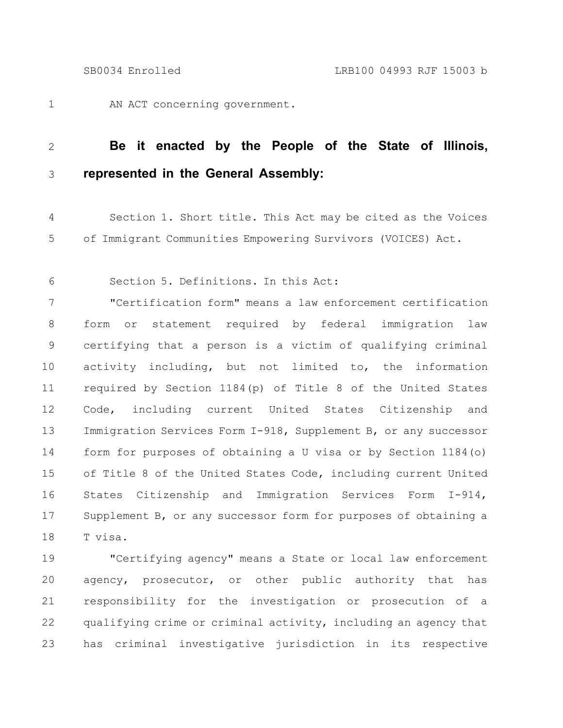AN ACT concerning government. 1

## **Be it enacted by the People of the State of Illinois, represented in the General Assembly:** 2 3

Section 1. Short title. This Act may be cited as the Voices of Immigrant Communities Empowering Survivors (VOICES) Act. 4 5

Section 5. Definitions. In this Act: 6

"Certification form" means a law enforcement certification form or statement required by federal immigration law certifying that a person is a victim of qualifying criminal activity including, but not limited to, the information required by Section 1184(p) of Title 8 of the United States Code, including current United States Citizenship and Immigration Services Form I-918, Supplement B, or any successor form for purposes of obtaining a U visa or by Section 1184(o) of Title 8 of the United States Code, including current United States Citizenship and Immigration Services Form I-914, Supplement B, or any successor form for purposes of obtaining a T visa. 7 8 9 10 11 12 13 14 15 16 17 18

"Certifying agency" means a State or local law enforcement agency, prosecutor, or other public authority that has responsibility for the investigation or prosecution of a qualifying crime or criminal activity, including an agency that has criminal investigative jurisdiction in its respective 19 20 21 22 23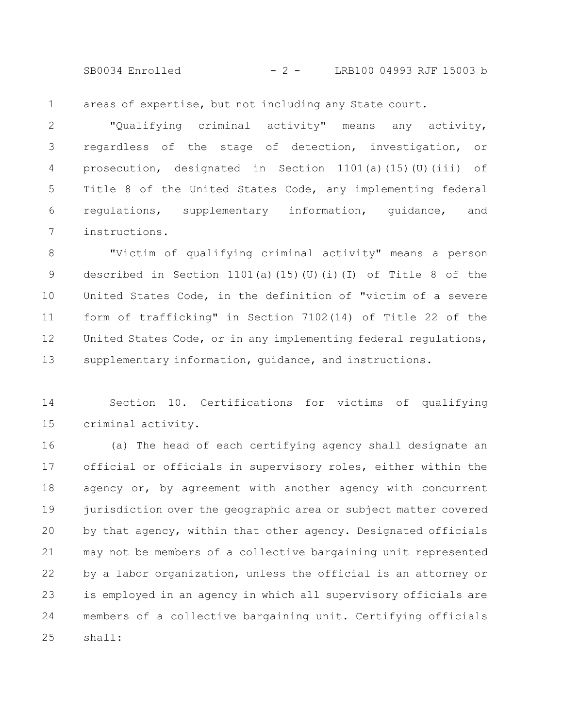SB0034 Enrolled - 2 - LRB100 04993 RJF 15003 b

areas of expertise, but not including any State court. 1

"Qualifying criminal activity" means any activity, regardless of the stage of detection, investigation, or prosecution, designated in Section 1101(a)(15)(U)(iii) of Title 8 of the United States Code, any implementing federal regulations, supplementary information, guidance, and instructions. 2 3 4 5 6 7

"Victim of qualifying criminal activity" means a person described in Section 1101(a)(15)(U)(i)(I) of Title 8 of the United States Code, in the definition of "victim of a severe form of trafficking" in Section 7102(14) of Title 22 of the United States Code, or in any implementing federal regulations, supplementary information, guidance, and instructions. 8 9 10 11 12 13

Section 10. Certifications for victims of qualifying criminal activity. 14 15

(a) The head of each certifying agency shall designate an official or officials in supervisory roles, either within the agency or, by agreement with another agency with concurrent jurisdiction over the geographic area or subject matter covered by that agency, within that other agency. Designated officials may not be members of a collective bargaining unit represented by a labor organization, unless the official is an attorney or is employed in an agency in which all supervisory officials are members of a collective bargaining unit. Certifying officials shall: 16 17 18 19 20 21 22 23 24 25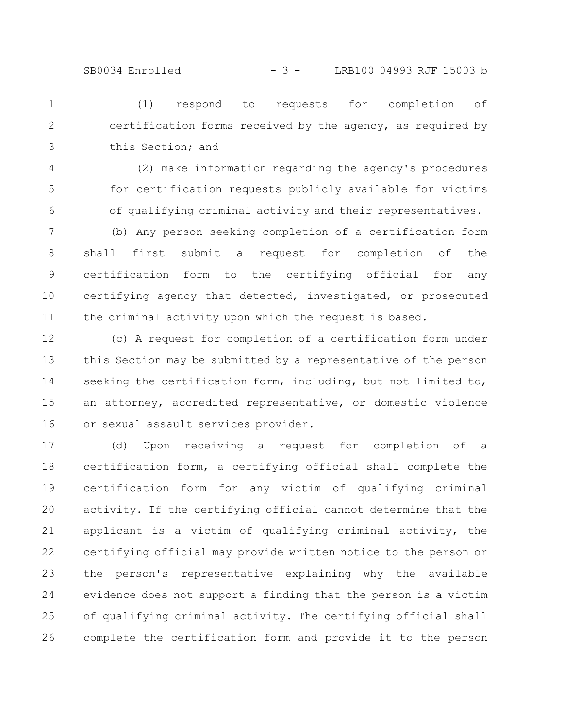(1) respond to requests for completion of certification forms received by the agency, as required by this Section; and 1 2 3

- (2) make information regarding the agency's procedures for certification requests publicly available for victims of qualifying criminal activity and their representatives. 4 5 6
- (b) Any person seeking completion of a certification form shall first submit a request for completion of the certification form to the certifying official for any certifying agency that detected, investigated, or prosecuted the criminal activity upon which the request is based. 7 8 9 10 11
- (c) A request for completion of a certification form under this Section may be submitted by a representative of the person seeking the certification form, including, but not limited to, an attorney, accredited representative, or domestic violence or sexual assault services provider. 12 13 14 15 16

(d) Upon receiving a request for completion of a certification form, a certifying official shall complete the certification form for any victim of qualifying criminal activity. If the certifying official cannot determine that the applicant is a victim of qualifying criminal activity, the certifying official may provide written notice to the person or the person's representative explaining why the available evidence does not support a finding that the person is a victim of qualifying criminal activity. The certifying official shall complete the certification form and provide it to the person 17 18 19 20 21 22 23 24 25 26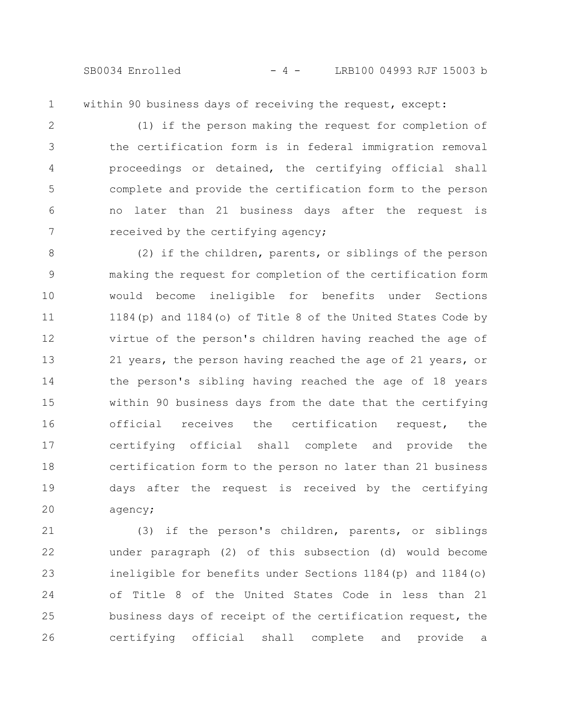SB0034 Enrolled - 4 - LRB100 04993 RJF 15003 b

within 90 business days of receiving the request, except: 1

(1) if the person making the request for completion of the certification form is in federal immigration removal proceedings or detained, the certifying official shall complete and provide the certification form to the person no later than 21 business days after the request is received by the certifying agency; 2 3 4 5 6 7

(2) if the children, parents, or siblings of the person making the request for completion of the certification form would become ineligible for benefits under Sections 1184(p) and 1184(o) of Title 8 of the United States Code by virtue of the person's children having reached the age of 21 years, the person having reached the age of 21 years, or the person's sibling having reached the age of 18 years within 90 business days from the date that the certifying official receives the certification request, the certifying official shall complete and provide the certification form to the person no later than 21 business days after the request is received by the certifying agency; 8 9 10 11 12 13 14 15 16 17 18 19 20

(3) if the person's children, parents, or siblings under paragraph (2) of this subsection (d) would become ineligible for benefits under Sections 1184(p) and 1184(o) of Title 8 of the United States Code in less than 21 business days of receipt of the certification request, the certifying official shall complete and provide a 21 22 23 24 25 26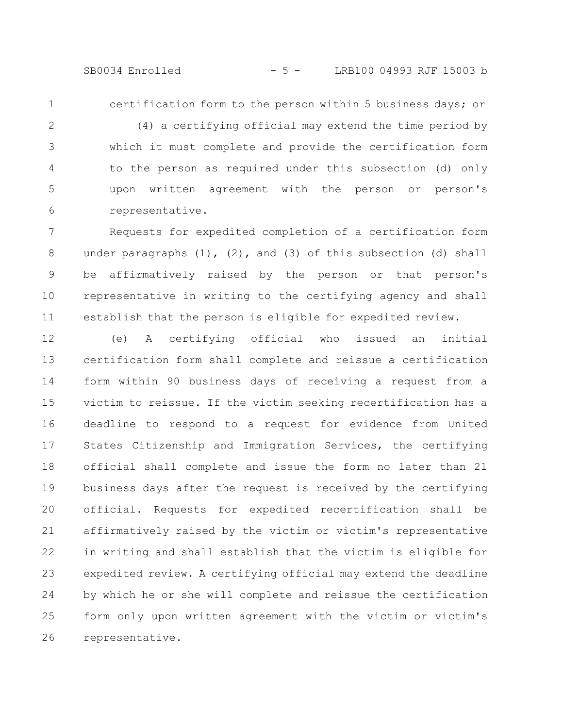SB0034 Enrolled - 5 - LRB100 04993 RJF 15003 b

1

certification form to the person within 5 business days; or

(4) a certifying official may extend the time period by which it must complete and provide the certification form to the person as required under this subsection (d) only upon written agreement with the person or person's representative. 2 3 4 5 6

Requests for expedited completion of a certification form under paragraphs  $(1)$ ,  $(2)$ , and  $(3)$  of this subsection  $(d)$  shall be affirmatively raised by the person or that person's representative in writing to the certifying agency and shall establish that the person is eligible for expedited review. 7 8 9 10 11

(e) A certifying official who issued an initial certification form shall complete and reissue a certification form within 90 business days of receiving a request from a victim to reissue. If the victim seeking recertification has a deadline to respond to a request for evidence from United States Citizenship and Immigration Services, the certifying official shall complete and issue the form no later than 21 business days after the request is received by the certifying official. Requests for expedited recertification shall be affirmatively raised by the victim or victim's representative in writing and shall establish that the victim is eligible for expedited review. A certifying official may extend the deadline by which he or she will complete and reissue the certification form only upon written agreement with the victim or victim's representative. 12 13 14 15 16 17 18 19 20 21 22 23 24 25 26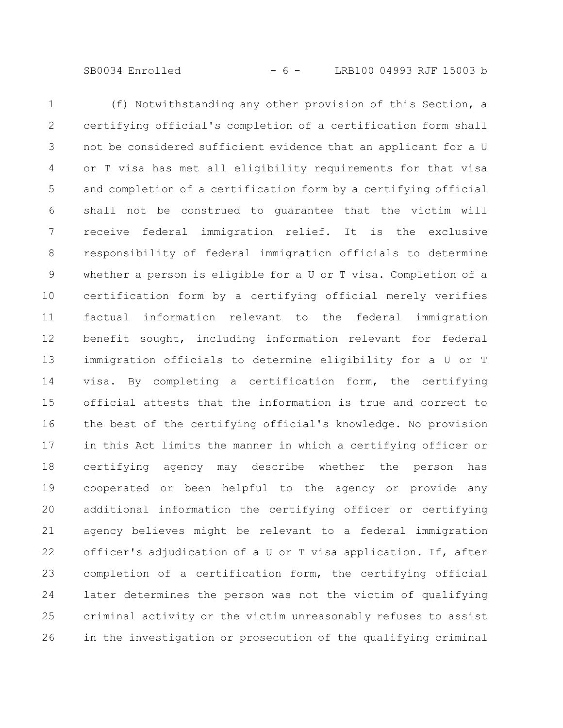SB0034 Enrolled - 6 - LRB100 04993 RJF 15003 b

(f) Notwithstanding any other provision of this Section, a certifying official's completion of a certification form shall not be considered sufficient evidence that an applicant for a U or T visa has met all eligibility requirements for that visa and completion of a certification form by a certifying official shall not be construed to guarantee that the victim will receive federal immigration relief. It is the exclusive responsibility of federal immigration officials to determine whether a person is eligible for a U or T visa. Completion of a certification form by a certifying official merely verifies factual information relevant to the federal immigration benefit sought, including information relevant for federal immigration officials to determine eligibility for a U or T visa. By completing a certification form, the certifying official attests that the information is true and correct to the best of the certifying official's knowledge. No provision in this Act limits the manner in which a certifying officer or certifying agency may describe whether the person has cooperated or been helpful to the agency or provide any additional information the certifying officer or certifying agency believes might be relevant to a federal immigration officer's adjudication of a U or T visa application. If, after completion of a certification form, the certifying official later determines the person was not the victim of qualifying criminal activity or the victim unreasonably refuses to assist in the investigation or prosecution of the qualifying criminal 1 2 3 4 5 6 7 8 9 10 11 12 13 14 15 16 17 18 19 20 21 22 23 24 25 26